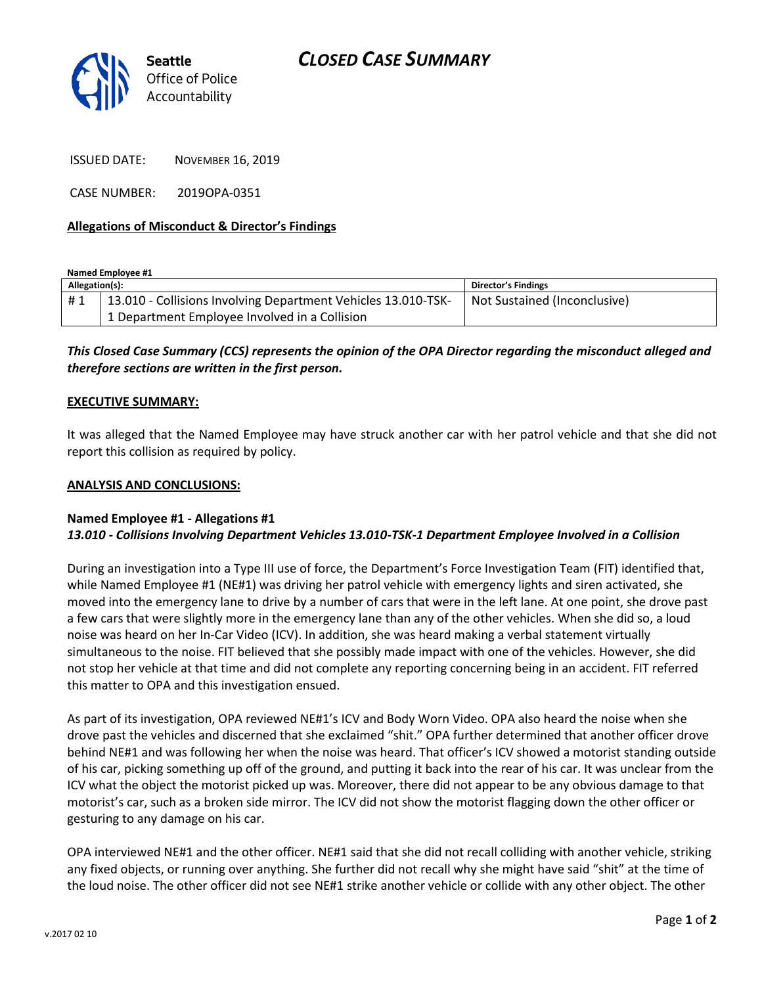

ISSUED DATE: NOVEMBER 16, 2019

CASE NUMBER: 2019OPA-0351

# **Allegations of Misconduct & Director's Findings**

**Named Employee #1**

| Allegation(s): |                                                               | <b>Director's Findings</b>   |
|----------------|---------------------------------------------------------------|------------------------------|
| #1             | 13.010 - Collisions Involving Department Vehicles 13.010-TSK- | Not Sustained (Inconclusive) |
|                | 1 Department Employee Involved in a Collision                 |                              |

# *This Closed Case Summary (CCS) represents the opinion of the OPA Director regarding the misconduct alleged and therefore sections are written in the first person.*

## **EXECUTIVE SUMMARY:**

It was alleged that the Named Employee may have struck another car with her patrol vehicle and that she did not report this collision as required by policy.

#### **ANALYSIS AND CONCLUSIONS:**

## **Named Employee #1 - Allegations #1** *13.010 - Collisions Involving Department Vehicles 13.010-TSK-1 Department Employee Involved in a Collision*

During an investigation into a Type III use of force, the Department's Force Investigation Team (FIT) identified that, while Named Employee #1 (NE#1) was driving her patrol vehicle with emergency lights and siren activated, she moved into the emergency lane to drive by a number of cars that were in the left lane. At one point, she drove past a few cars that were slightly more in the emergency lane than any of the other vehicles. When she did so, a loud noise was heard on her In-Car Video (ICV). In addition, she was heard making a verbal statement virtually simultaneous to the noise. FIT believed that she possibly made impact with one of the vehicles. However, she did not stop her vehicle at that time and did not complete any reporting concerning being in an accident. FIT referred this matter to OPA and this investigation ensued.

As part of its investigation, OPA reviewed NE#1's ICV and Body Worn Video. OPA also heard the noise when she drove past the vehicles and discerned that she exclaimed "shit." OPA further determined that another officer drove behind NE#1 and was following her when the noise was heard. That officer's ICV showed a motorist standing outside of his car, picking something up off of the ground, and putting it back into the rear of his car. It was unclear from the ICV what the object the motorist picked up was. Moreover, there did not appear to be any obvious damage to that motorist's car, such as a broken side mirror. The ICV did not show the motorist flagging down the other officer or gesturing to any damage on his car.

OPA interviewed NE#1 and the other officer. NE#1 said that she did not recall colliding with another vehicle, striking any fixed objects, or running over anything. She further did not recall why she might have said "shit" at the time of the loud noise. The other officer did not see NE#1 strike another vehicle or collide with any other object. The other